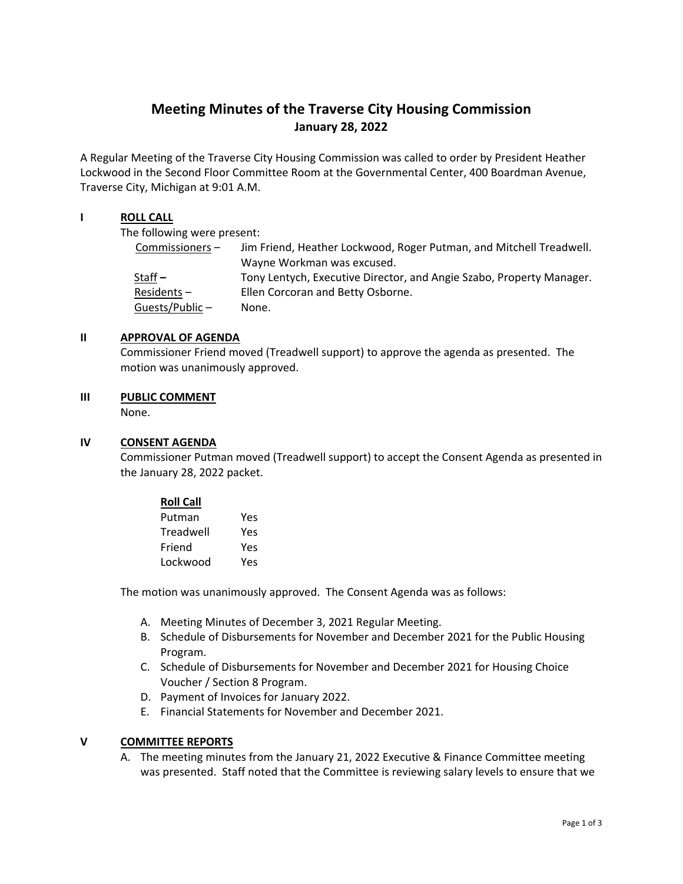# **Meeting Minutes of the Traverse City Housing Commission January 28, 2022**

A Regular Meeting of the Traverse City Housing Commission was called to order by President Heather Lockwood in the Second Floor Committee Room at the Governmental Center, 400 Boardman Avenue, Traverse City, Michigan at 9:01 A.M.

## **I ROLL CALL**

The following were present:

| Commissioners- | Jim Friend, Heather Lockwood, Roger Putman, and Mitchell Treadwell.  |
|----------------|----------------------------------------------------------------------|
|                | Wayne Workman was excused.                                           |
| Staff $-$      | Tony Lentych, Executive Director, and Angie Szabo, Property Manager. |
| $Residents -$  | Ellen Corcoran and Betty Osborne.                                    |
| Guests/Public- | None.                                                                |

## **II APPROVAL OF AGENDA**

Commissioner Friend moved (Treadwell support) to approve the agenda as presented. The motion was unanimously approved.

## **III PUBLIC COMMENT**

None.

## **IV CONSENT AGENDA**

Commissioner Putman moved (Treadwell support) to accept the Consent Agenda as presented in the January 28, 2022 packet.

| <b>Roll Call</b> |     |
|------------------|-----|
| Putman           | Yes |
| Treadwell        | Yes |
| Friend           | Yes |
| Lockwood         | Yes |

The motion was unanimously approved. The Consent Agenda was as follows:

- A. Meeting Minutes of December 3, 2021 Regular Meeting.
- B. Schedule of Disbursements for November and December 2021 for the Public Housing Program.
- C. Schedule of Disbursements for November and December 2021 for Housing Choice Voucher / Section 8 Program.
- D. Payment of Invoices for January 2022.
- E. Financial Statements for November and December 2021.

## **V COMMITTEE REPORTS**

A. The meeting minutes from the January 21, 2022 Executive & Finance Committee meeting was presented. Staff noted that the Committee is reviewing salary levels to ensure that we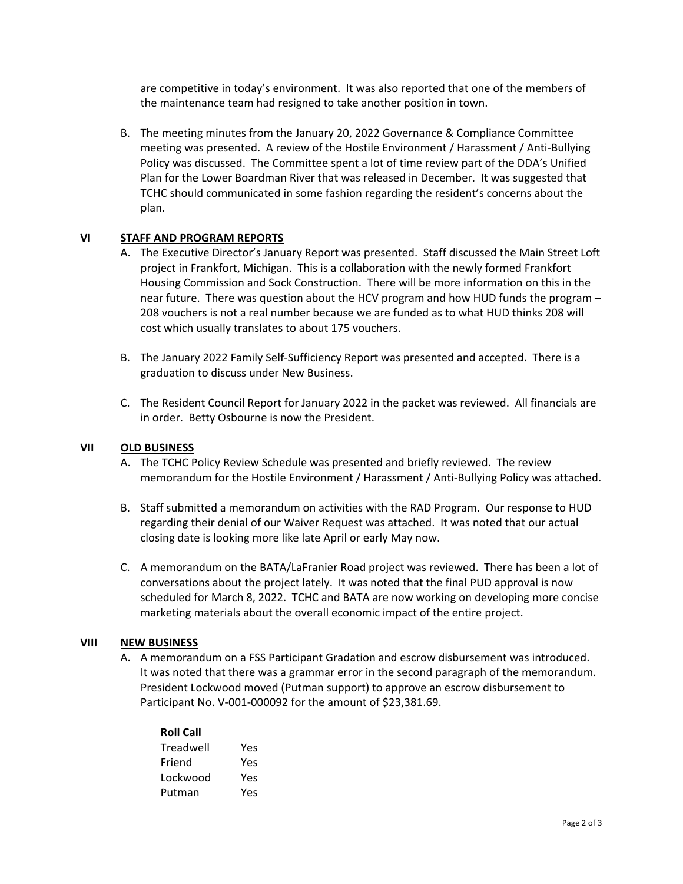are competitive in today's environment. It was also reported that one of the members of the maintenance team had resigned to take another position in town.

B. The meeting minutes from the January 20, 2022 Governance & Compliance Committee meeting was presented. A review of the Hostile Environment / Harassment / Anti‐Bullying Policy was discussed. The Committee spent a lot of time review part of the DDA's Unified Plan for the Lower Boardman River that was released in December. It was suggested that TCHC should communicated in some fashion regarding the resident's concerns about the plan.

## **VI STAFF AND PROGRAM REPORTS**

- A. The Executive Director's January Report was presented. Staff discussed the Main Street Loft project in Frankfort, Michigan. This is a collaboration with the newly formed Frankfort Housing Commission and Sock Construction. There will be more information on this in the near future. There was question about the HCV program and how HUD funds the program – 208 vouchers is not a real number because we are funded as to what HUD thinks 208 will cost which usually translates to about 175 vouchers.
- B. The January 2022 Family Self‐Sufficiency Report was presented and accepted. There is a graduation to discuss under New Business.
- C. The Resident Council Report for January 2022 in the packet was reviewed. All financials are in order. Betty Osbourne is now the President.

## **VII OLD BUSINESS**

- A. The TCHC Policy Review Schedule was presented and briefly reviewed. The review memorandum for the Hostile Environment / Harassment / Anti-Bullying Policy was attached.
- B. Staff submitted a memorandum on activities with the RAD Program. Our response to HUD regarding their denial of our Waiver Request was attached. It was noted that our actual closing date is looking more like late April or early May now.
- C. A memorandum on the BATA/LaFranier Road project was reviewed. There has been a lot of conversations about the project lately. It was noted that the final PUD approval is now scheduled for March 8, 2022. TCHC and BATA are now working on developing more concise marketing materials about the overall economic impact of the entire project.

## **VIII NEW BUSINESS**

A. A memorandum on a FSS Participant Gradation and escrow disbursement was introduced. It was noted that there was a grammar error in the second paragraph of the memorandum. President Lockwood moved (Putman support) to approve an escrow disbursement to Participant No. V‐001‐000092 for the amount of \$23,381.69.

| <b>Roll Call</b> |     |  |  |
|------------------|-----|--|--|
| Treadwell        | Yes |  |  |
| Friend           | Yes |  |  |
| Lockwood         | Yes |  |  |
| Putman           | Yes |  |  |
|                  |     |  |  |